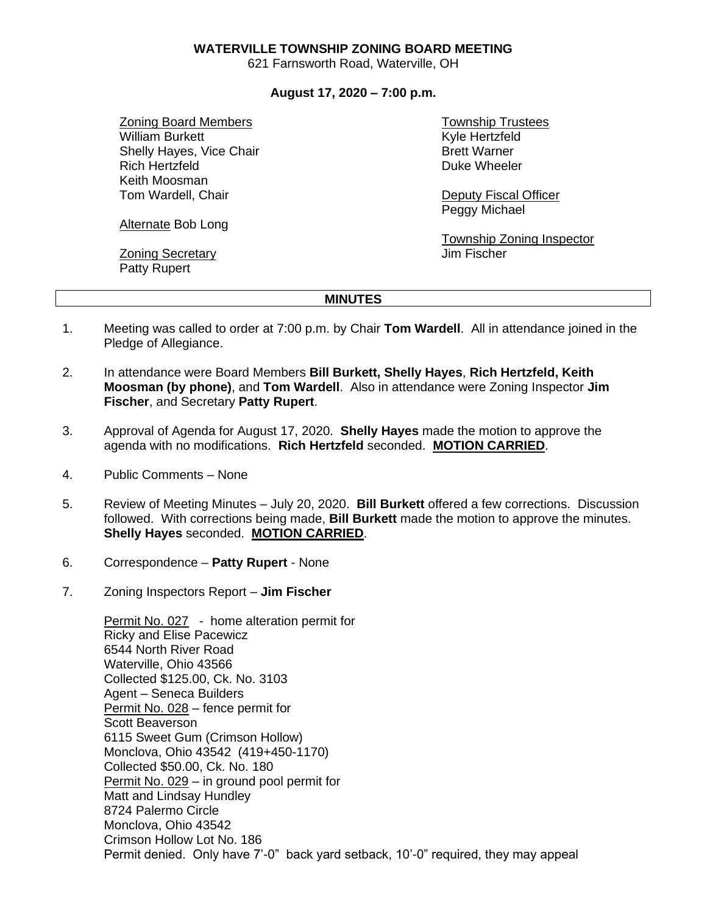#### **WATERVILLE TOWNSHIP ZONING BOARD MEETING**

621 Farnsworth Road, Waterville, OH

### **August 17, 2020 – 7:00 p.m.**

Zoning Board Members William Burkett Shelly Hayes, Vice Chair Rich Hertzfeld Keith Moosman Tom Wardell, Chair

Alternate Bob Long

Zoning Secretary Patty Rupert

Township Trustees Kyle Hertzfeld Brett Warner Duke Wheeler

Deputy Fiscal Officer Peggy Michael

Township Zoning Inspector Jim Fischer

#### **MINUTES**

- 1. Meeting was called to order at 7:00 p.m. by Chair **Tom Wardell**. All in attendance joined in the Pledge of Allegiance.
- 2. In attendance were Board Members **Bill Burkett, Shelly Hayes**, **Rich Hertzfeld, Keith Moosman (by phone)**, and **Tom Wardell**. Also in attendance were Zoning Inspector **Jim Fischer**, and Secretary **Patty Rupert**.
- 3. Approval of Agenda for August 17, 2020. **Shelly Hayes** made the motion to approve the agenda with no modifications. **Rich Hertzfeld** seconded. **MOTION CARRIED**.
- 4. Public Comments None
- 5. Review of Meeting Minutes July 20, 2020. **Bill Burkett** offered a few corrections. Discussion followed. With corrections being made, **Bill Burkett** made the motion to approve the minutes. **Shelly Hayes** seconded. **MOTION CARRIED**.
- 6. Correspondence **Patty Rupert** None
- 7. Zoning Inspectors Report **Jim Fischer**

Permit No. 027 - home alteration permit for Ricky and Elise Pacewicz 6544 North River Road Waterville, Ohio 43566 Collected \$125.00, Ck. No. 3103 Agent – Seneca Builders Permit No. 028 – fence permit for Scott Beaverson 6115 Sweet Gum (Crimson Hollow) Monclova, Ohio 43542 (419+450-1170) Collected \$50.00, Ck. No. 180 Permit No. 029 – in ground pool permit for Matt and Lindsay Hundley 8724 Palermo Circle Monclova, Ohio 43542 Crimson Hollow Lot No. 186 Permit denied. Only have 7'-0" back yard setback, 10'-0" required, they may appeal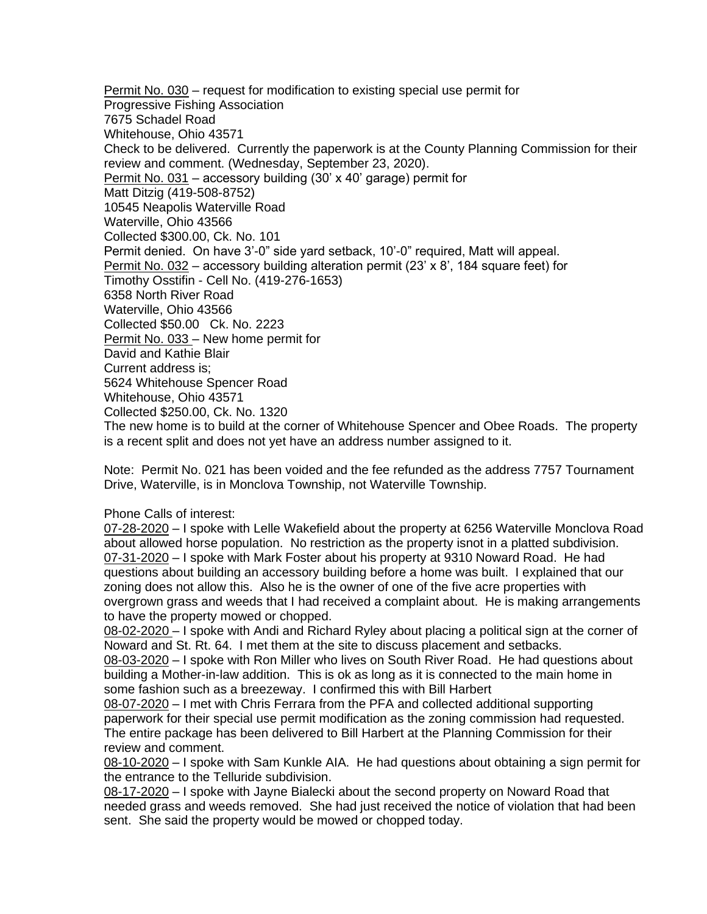Permit No. 030 – request for modification to existing special use permit for Progressive Fishing Association 7675 Schadel Road Whitehouse, Ohio 43571 Check to be delivered. Currently the paperwork is at the County Planning Commission for their review and comment. (Wednesday, September 23, 2020). Permit No. 031 - accessory building (30' x 40' garage) permit for Matt Ditzig (419-508-8752) 10545 Neapolis Waterville Road Waterville, Ohio 43566 Collected \$300.00, Ck. No. 101 Permit denied. On have 3'-0" side yard setback, 10'-0" required, Matt will appeal. Permit No. 032 – accessory building alteration permit (23' x 8', 184 square feet) for Timothy Osstifin - Cell No. (419-276-1653) 6358 North River Road Waterville, Ohio 43566 Collected \$50.00 Ck. No. 2223 Permit No. 033 – New home permit for David and Kathie Blair Current address is; 5624 Whitehouse Spencer Road Whitehouse, Ohio 43571 Collected \$250.00, Ck. No. 1320 The new home is to build at the corner of Whitehouse Spencer and Obee Roads. The property is a recent split and does not yet have an address number assigned to it.

Note: Permit No. 021 has been voided and the fee refunded as the address 7757 Tournament Drive, Waterville, is in Monclova Township, not Waterville Township.

Phone Calls of interest:

07-28-2020 – I spoke with Lelle Wakefield about the property at 6256 Waterville Monclova Road about allowed horse population. No restriction as the property isnot in a platted subdivision. 07-31-2020 – I spoke with Mark Foster about his property at 9310 Noward Road. He had questions about building an accessory building before a home was built. I explained that our zoning does not allow this. Also he is the owner of one of the five acre properties with overgrown grass and weeds that I had received a complaint about. He is making arrangements to have the property mowed or chopped.

08-02-2020 – I spoke with Andi and Richard Ryley about placing a political sign at the corner of Noward and St. Rt. 64. I met them at the site to discuss placement and setbacks.

08-03-2020 – I spoke with Ron Miller who lives on South River Road. He had questions about building a Mother-in-law addition. This is ok as long as it is connected to the main home in some fashion such as a breezeway. I confirmed this with Bill Harbert

08-07-2020 – I met with Chris Ferrara from the PFA and collected additional supporting paperwork for their special use permit modification as the zoning commission had requested. The entire package has been delivered to Bill Harbert at the Planning Commission for their review and comment.

08-10-2020 – I spoke with Sam Kunkle AIA. He had questions about obtaining a sign permit for the entrance to the Telluride subdivision.

08-17-2020 – I spoke with Jayne Bialecki about the second property on Noward Road that needed grass and weeds removed. She had just received the notice of violation that had been sent. She said the property would be mowed or chopped today.